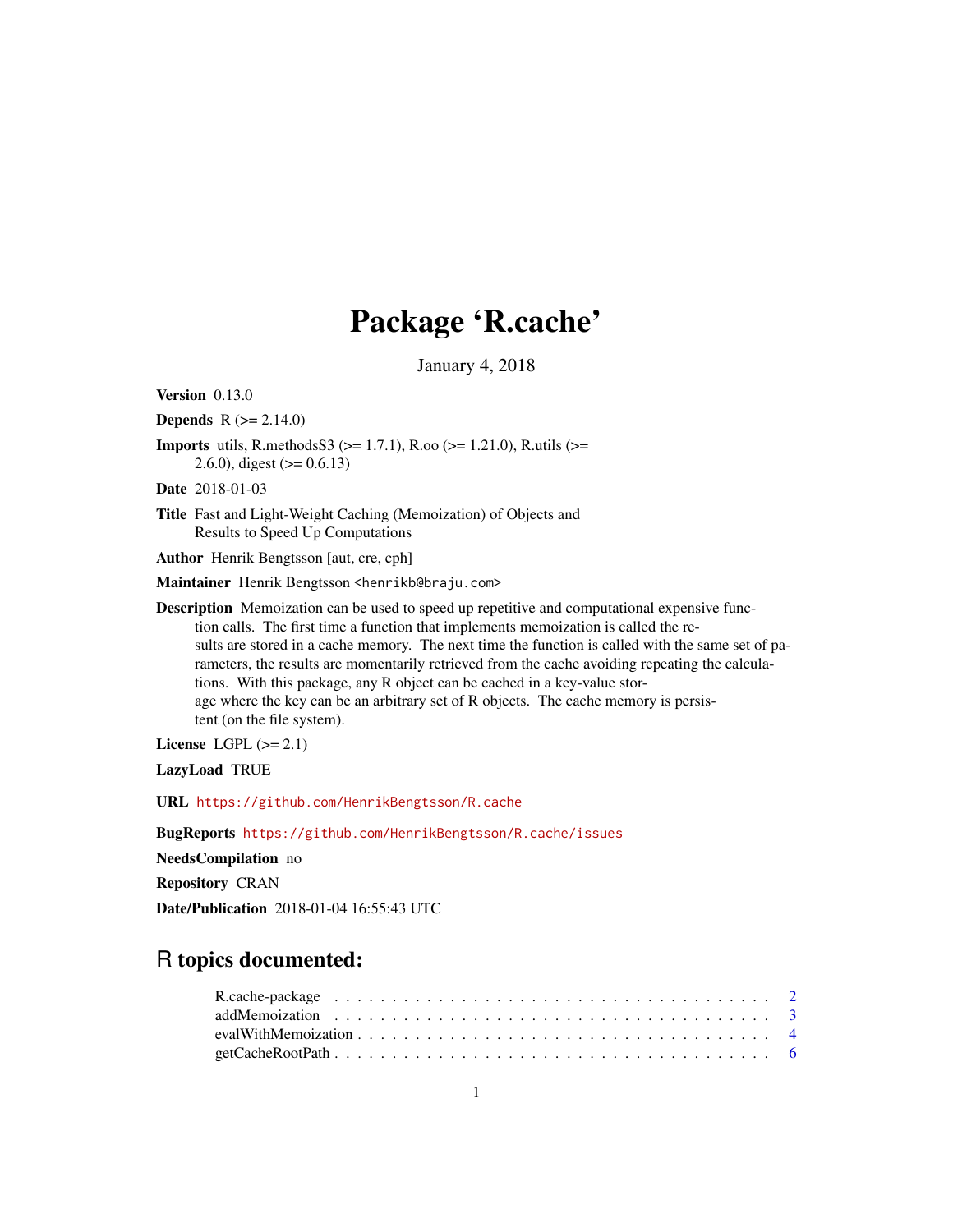# Package 'R.cache'

January 4, 2018

<span id="page-0-0"></span>Version 0.13.0

**Depends** R  $(>= 2.14.0)$ 

**Imports** utils, R.methodsS3 ( $> = 1.7.1$ ), R.oo ( $> = 1.21.0$ ), R.utils ( $> =$ 2.6.0), digest  $(>= 0.6.13)$ 

Date 2018-01-03

Title Fast and Light-Weight Caching (Memoization) of Objects and Results to Speed Up Computations

Author Henrik Bengtsson [aut, cre, cph]

Maintainer Henrik Bengtsson <henrikb@braju.com>

Description Memoization can be used to speed up repetitive and computational expensive function calls. The first time a function that implements memoization is called the results are stored in a cache memory. The next time the function is called with the same set of parameters, the results are momentarily retrieved from the cache avoiding repeating the calculations. With this package, any R object can be cached in a key-value storage where the key can be an arbitrary set of R objects. The cache memory is persistent (on the file system).

License LGPL  $(>= 2.1)$ 

LazyLoad TRUE

URL <https://github.com/HenrikBengtsson/R.cache>

BugReports <https://github.com/HenrikBengtsson/R.cache/issues>

NeedsCompilation no

Repository CRAN

Date/Publication 2018-01-04 16:55:43 UTC

# R topics documented: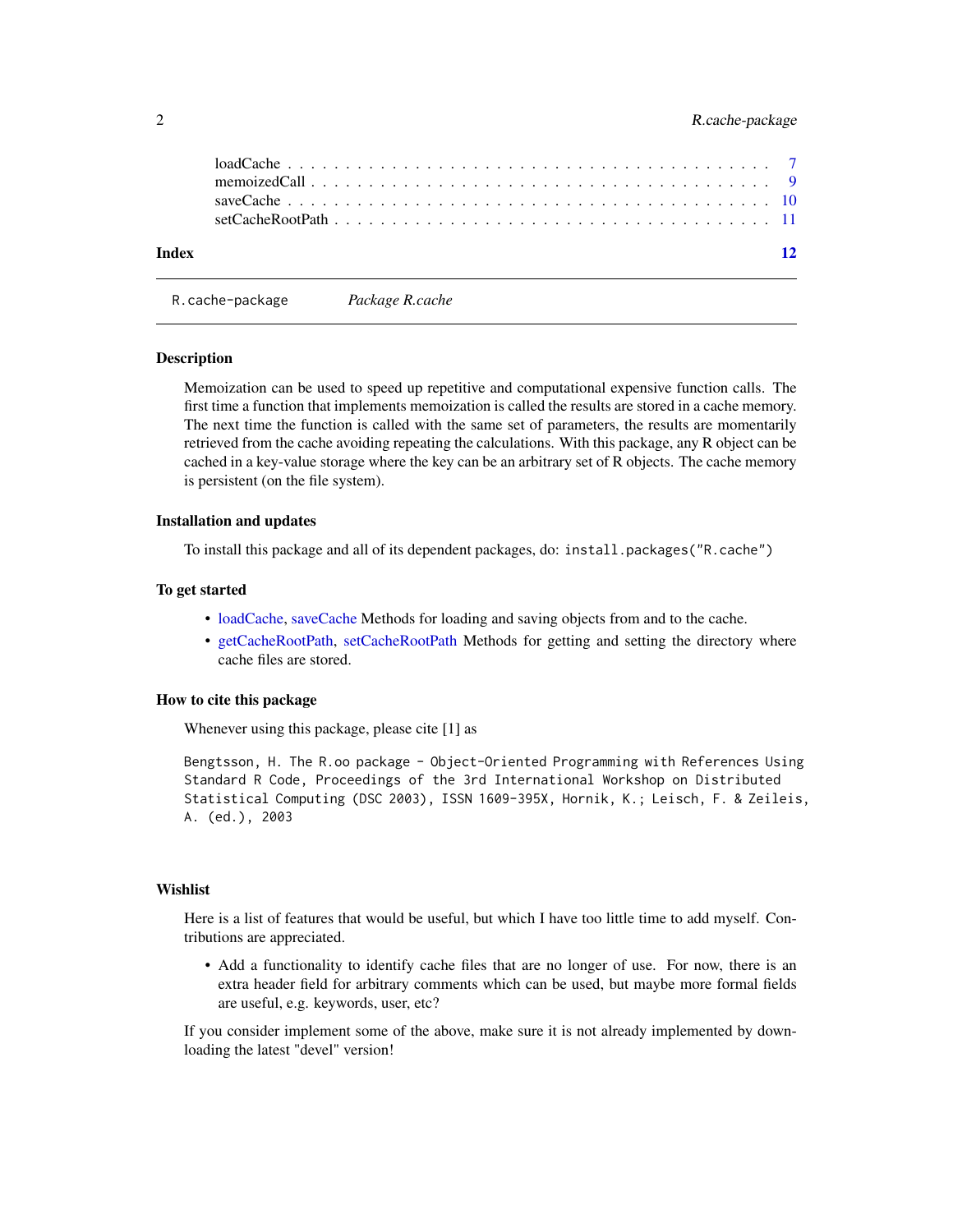<span id="page-1-0"></span>

| Index | $\overline{12}$ |
|-------|-----------------|

R.cache-package *Package R.cache*

#### Description

Memoization can be used to speed up repetitive and computational expensive function calls. The first time a function that implements memoization is called the results are stored in a cache memory. The next time the function is called with the same set of parameters, the results are momentarily retrieved from the cache avoiding repeating the calculations. With this package, any R object can be cached in a key-value storage where the key can be an arbitrary set of R objects. The cache memory is persistent (on the file system).

#### Installation and updates

To install this package and all of its dependent packages, do: install.packages("R.cache")

#### To get started

- [loadCache,](#page-6-1) [saveCache](#page-9-1) Methods for loading and saving objects from and to the cache.
- [getCacheRootPath,](#page-5-1) [setCacheRootPath](#page-10-1) Methods for getting and setting the directory where cache files are stored.

# How to cite this package

Whenever using this package, please cite [1] as

Bengtsson, H. The R.oo package - Object-Oriented Programming with References Using Standard R Code, Proceedings of the 3rd International Workshop on Distributed Statistical Computing (DSC 2003), ISSN 1609-395X, Hornik, K.; Leisch, F. & Zeileis, A. (ed.), 2003

# Wishlist

Here is a list of features that would be useful, but which I have too little time to add myself. Contributions are appreciated.

• Add a functionality to identify cache files that are no longer of use. For now, there is an extra header field for arbitrary comments which can be used, but maybe more formal fields are useful, e.g. keywords, user, etc?

If you consider implement some of the above, make sure it is not already implemented by downloading the latest "devel" version!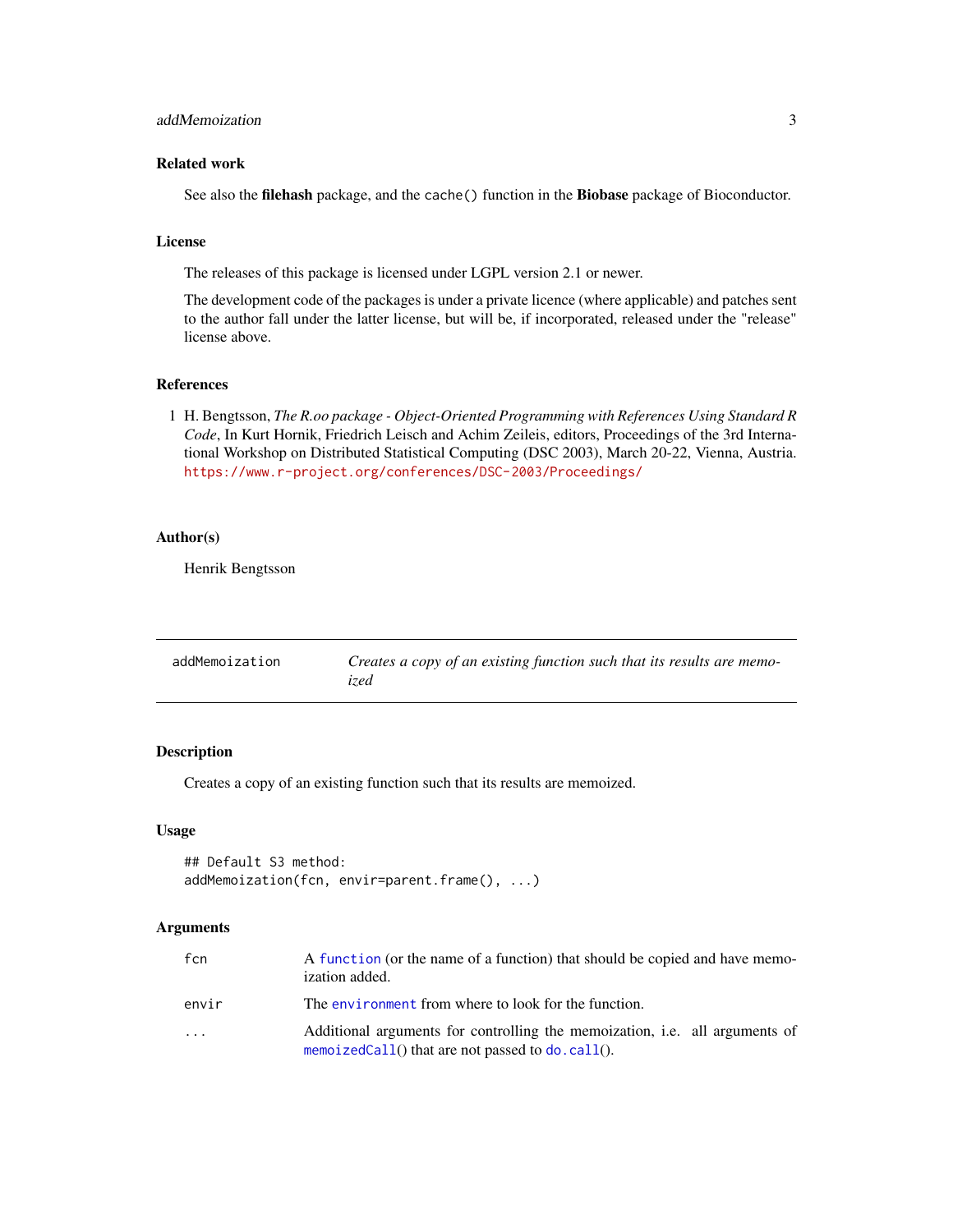# <span id="page-2-0"></span>addMemoization 3

# Related work

See also the filehash package, and the cache() function in the Biobase package of Bioconductor.

#### License

The releases of this package is licensed under LGPL version 2.1 or newer.

The development code of the packages is under a private licence (where applicable) and patches sent to the author fall under the latter license, but will be, if incorporated, released under the "release" license above.

# References

1 H. Bengtsson, *The R.oo package - Object-Oriented Programming with References Using Standard R Code*, In Kurt Hornik, Friedrich Leisch and Achim Zeileis, editors, Proceedings of the 3rd International Workshop on Distributed Statistical Computing (DSC 2003), March 20-22, Vienna, Austria. <https://www.r-project.org/conferences/DSC-2003/Proceedings/>

# Author(s)

Henrik Bengtsson

| addMemoization | Creates a copy of an existing function such that its results are memo-<br>ized |
|----------------|--------------------------------------------------------------------------------|
|                |                                                                                |

# Description

Creates a copy of an existing function such that its results are memoized.

## Usage

```
## Default S3 method:
addMemoization(fcn, envir=parent.frame(), ...)
```
#### Arguments

| fcn                     | A function (or the name of a function) that should be copied and have memo-<br>ization added.                                       |
|-------------------------|-------------------------------------------------------------------------------------------------------------------------------------|
| envir                   | The environment from where to look for the function.                                                                                |
| $\cdot$ $\cdot$ $\cdot$ | Additional arguments for controlling the memoization, i.e. all arguments of<br>memoizedCall() that are not passed to $do$ . call(). |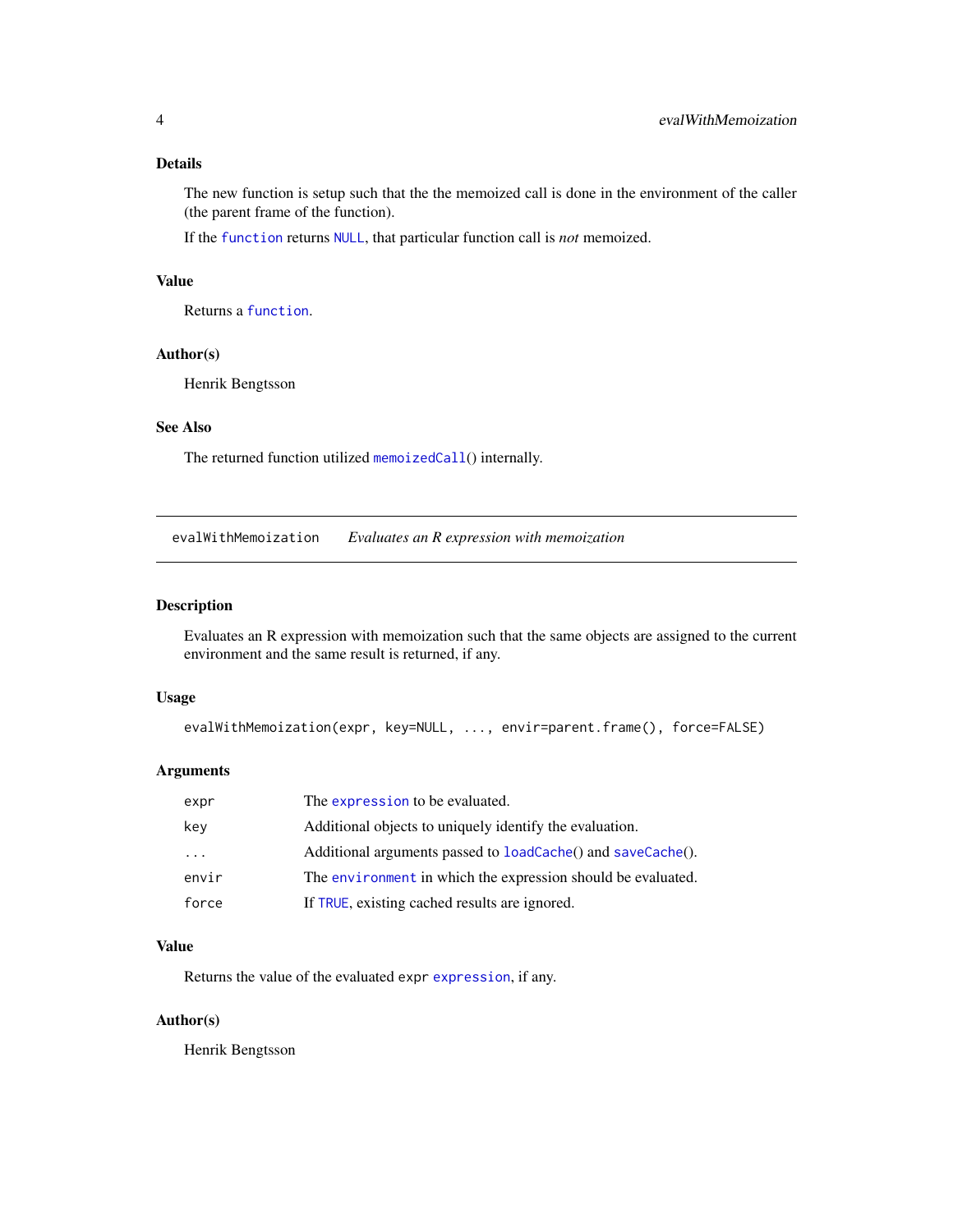# <span id="page-3-0"></span>Details

The new function is setup such that the the memoized call is done in the environment of the caller (the parent frame of the function).

If the [function](#page-0-0) returns [NULL](#page-0-0), that particular function call is *not* memoized.

# Value

Returns a [function](#page-0-0).

# Author(s)

Henrik Bengtsson

# See Also

The returned function utilized [memoizedCall](#page-8-1)() internally.

evalWithMemoization *Evaluates an R expression with memoization*

### Description

Evaluates an R expression with memoization such that the same objects are assigned to the current environment and the same result is returned, if any.

#### Usage

```
evalWithMemoization(expr, key=NULL, ..., envir=parent.frame(), force=FALSE)
```
# Arguments

| expr                    | The expression to be evaluated.                              |
|-------------------------|--------------------------------------------------------------|
| key                     | Additional objects to uniquely identify the evaluation.      |
| $\cdot$ $\cdot$ $\cdot$ | Additional arguments passed to loadCache() and saveCache().  |
| envir                   | The environment in which the expression should be evaluated. |
| force                   | If TRUE, existing cached results are ignored.                |

# Value

Returns the value of the evaluated expr [expression](#page-0-0), if any.

### Author(s)

Henrik Bengtsson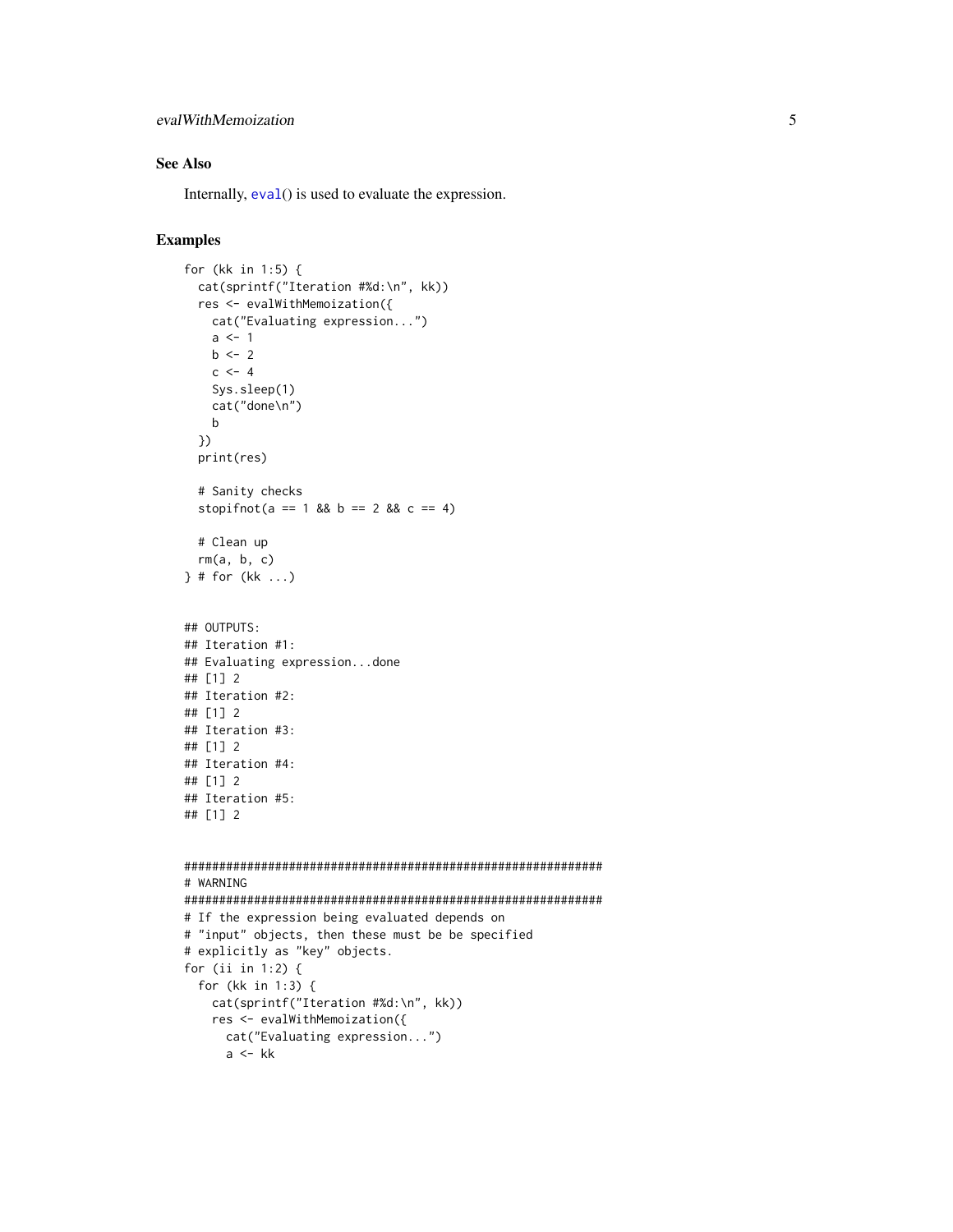# <span id="page-4-0"></span>evalWithMemoization 5

# See Also

Internally,  $eval()$  $eval()$  is used to evaluate the expression.

# Examples

```
for (kk in 1:5) {
  cat(sprintf("Iteration #%d:\n", kk))
  res <- evalWithMemoization({
   cat("Evaluating expression...")
   a \leq -1b \le -2c \le -4Sys.sleep(1)
   cat("done\n")
   b
  })
  print(res)
  # Sanity checks
  stopifnot(a == 1 && b == 2 && c == 4)
  # Clean up
  rm(a, b, c)} # for (kk ...)
## OUTPUTS:
## Iteration #1:
## Evaluating expression...done
## [1] 2
## Iteration #2:
## [1] 2
## Iteration #3:
## [1] 2
## Iteration #4:
## [1] 2
## Iteration #5:
## [1] 2
############################################################
# WARNING
############################################################
# If the expression being evaluated depends on
# "input" objects, then these must be be specified
# explicitly as "key" objects.
for (ii in 1:2) {
  for (kk in 1:3) {
   cat(sprintf("Iteration #%d:\n", kk))
   res <- evalWithMemoization({
     cat("Evaluating expression...")
      a <- kk
```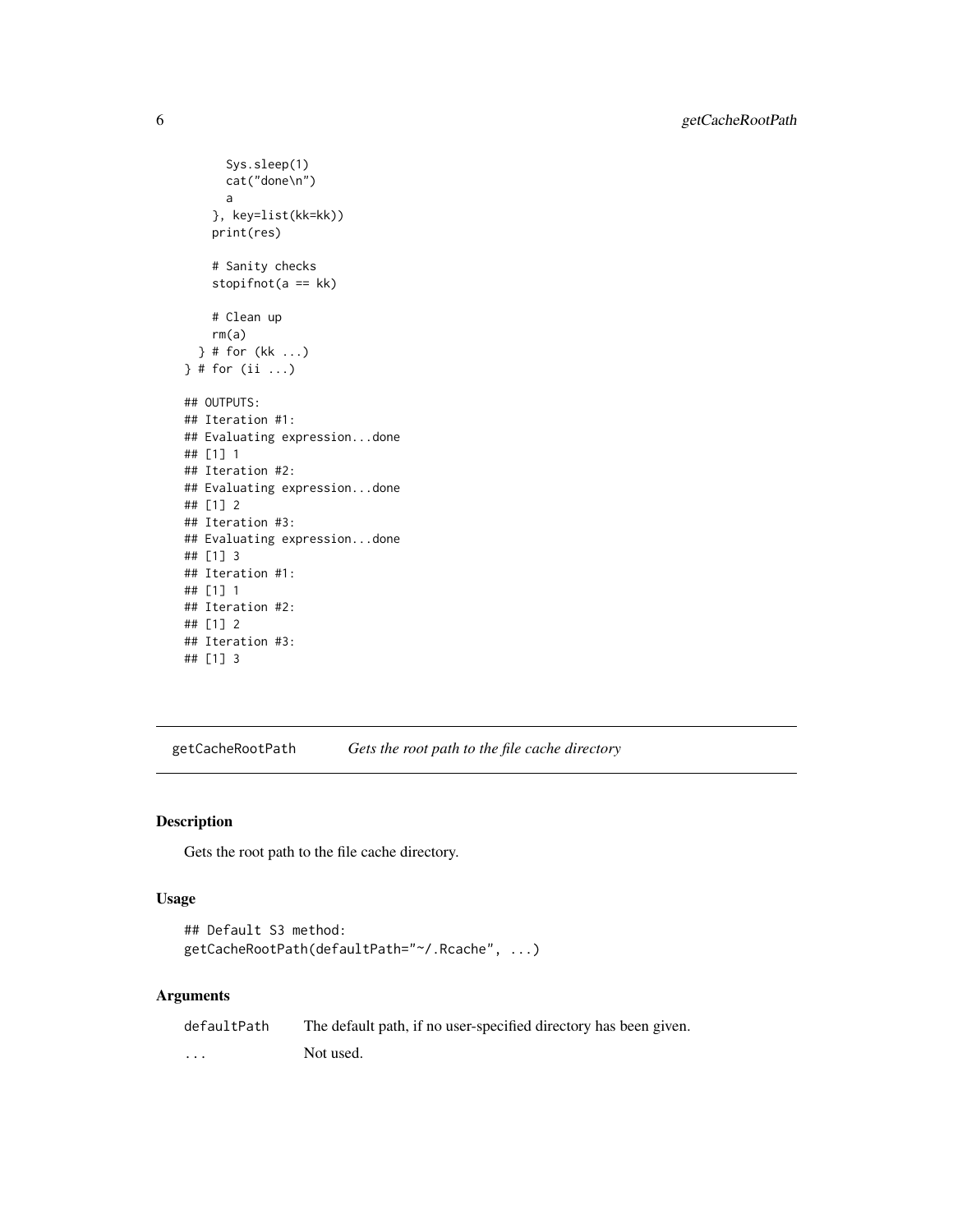```
Sys.sleep(1)
      cat("done\n")
      a
    }, key=list(kk=kk))
   print(res)
    # Sanity checks
    stopifnot(a == kk)
   # Clean up
   rm(a)
  } # for (kk ...)
} # for (ii ...)
## OUTPUTS:
## Iteration #1:
## Evaluating expression...done
## [1] 1
## Iteration #2:
## Evaluating expression...done
## [1] 2
## Iteration #3:
## Evaluating expression...done
## [1] 3
## Iteration #1:
## [1] 1
## Iteration #2:
## [1] 2
## Iteration #3:
## [1] 3
```
<span id="page-5-1"></span>getCacheRootPath *Gets the root path to the file cache directory*

# Description

Gets the root path to the file cache directory.

# Usage

```
## Default S3 method:
getCacheRootPath(defaultPath="~/.Rcache", ...)
```
# Arguments

| defaultPath | The default path, if no user-specified directory has been given. |
|-------------|------------------------------------------------------------------|
| $\cdots$    | Not used.                                                        |

<span id="page-5-0"></span>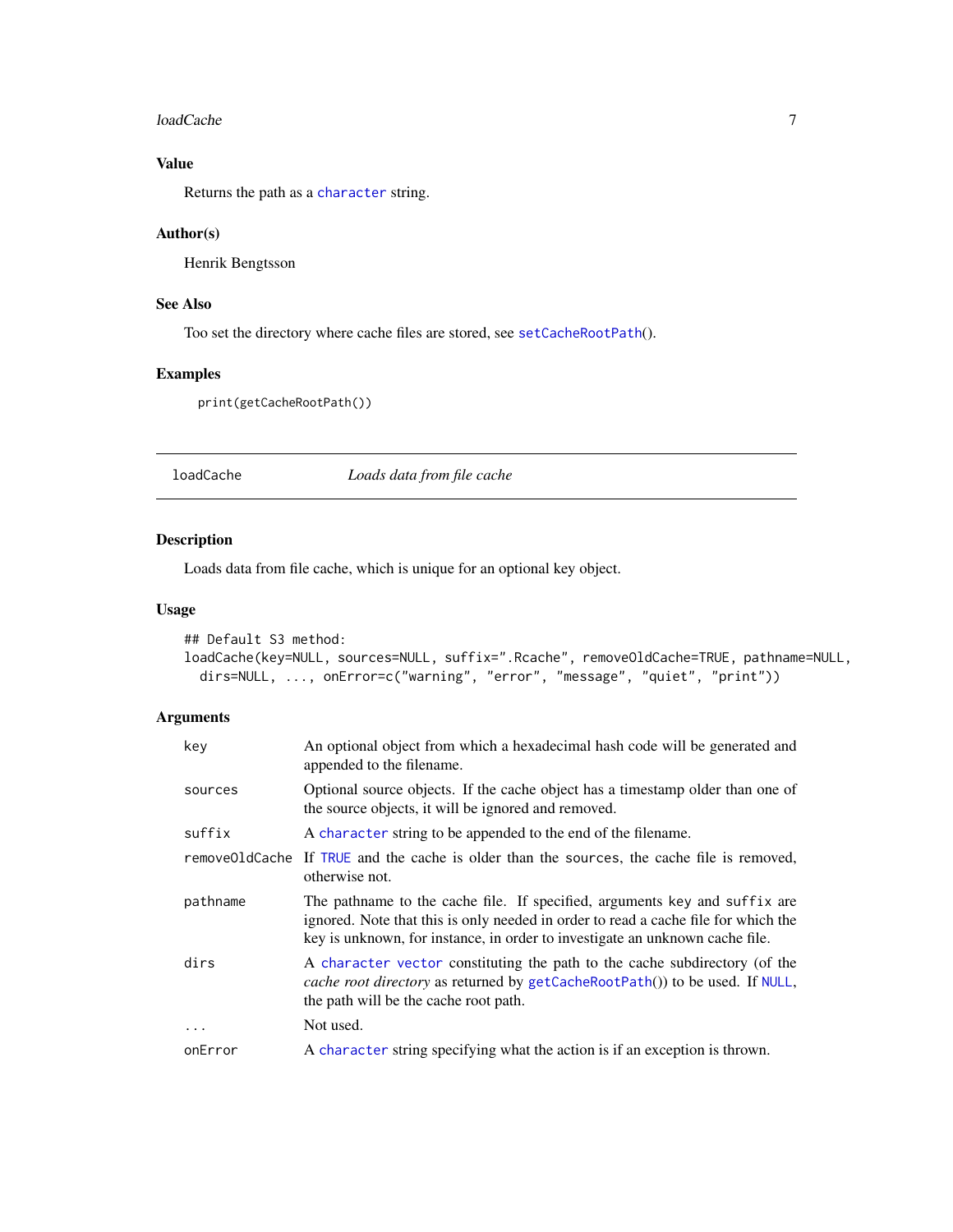#### <span id="page-6-0"></span>loadCache 7 and 7 and 7 and 7 and 7 and 7 and 7 and 7 and 7 and 7 and 7 and 7 and 7 and 7 and 7 and 7 and 7 and 7 and 7 and 7 and 7 and 7 and 7 and 7 and 7 and 7 and 7 and 7 and 7 and 7 and 7 and 7 and 7 and 7 and 7 and 7

# Value

Returns the path as a [character](#page-0-0) string.

#### Author(s)

Henrik Bengtsson

# See Also

Too set the directory where cache files are stored, see [setCacheRootPath](#page-10-1)().

# Examples

print(getCacheRootPath())

<span id="page-6-1"></span>loadCache *Loads data from file cache*

# Description

Loads data from file cache, which is unique for an optional key object.

#### Usage

```
## Default S3 method:
loadCache(key=NULL, sources=NULL, suffix=".Rcache", removeOldCache=TRUE, pathname=NULL,
 dirs=NULL, ..., onError=c("warning", "error", "message", "quiet", "print"))
```
# Arguments

| key      | An optional object from which a hexadecimal hash code will be generated and<br>appended to the filename.                                                                                                                                         |
|----------|--------------------------------------------------------------------------------------------------------------------------------------------------------------------------------------------------------------------------------------------------|
| sources  | Optional source objects. If the cache object has a timestamp older than one of<br>the source objects, it will be ignored and removed.                                                                                                            |
| suffix   | A character string to be appended to the end of the filename.                                                                                                                                                                                    |
|          | remove01dCache If TRUE and the cache is older than the sources, the cache file is removed,<br>otherwise not.                                                                                                                                     |
| pathname | The pathname to the cache file. If specified, arguments key and suffix are<br>ignored. Note that this is only needed in order to read a cache file for which the<br>key is unknown, for instance, in order to investigate an unknown cache file. |
| dirs     | A character vector constituting the path to the cache subdirectory (of the<br><i>cache root directory</i> as returned by getCacheRootPath()) to be used. If NULL,<br>the path will be the cache root path.                                       |
| $\ddots$ | Not used.                                                                                                                                                                                                                                        |
| onError  | A character string specifying what the action is if an exception is thrown.                                                                                                                                                                      |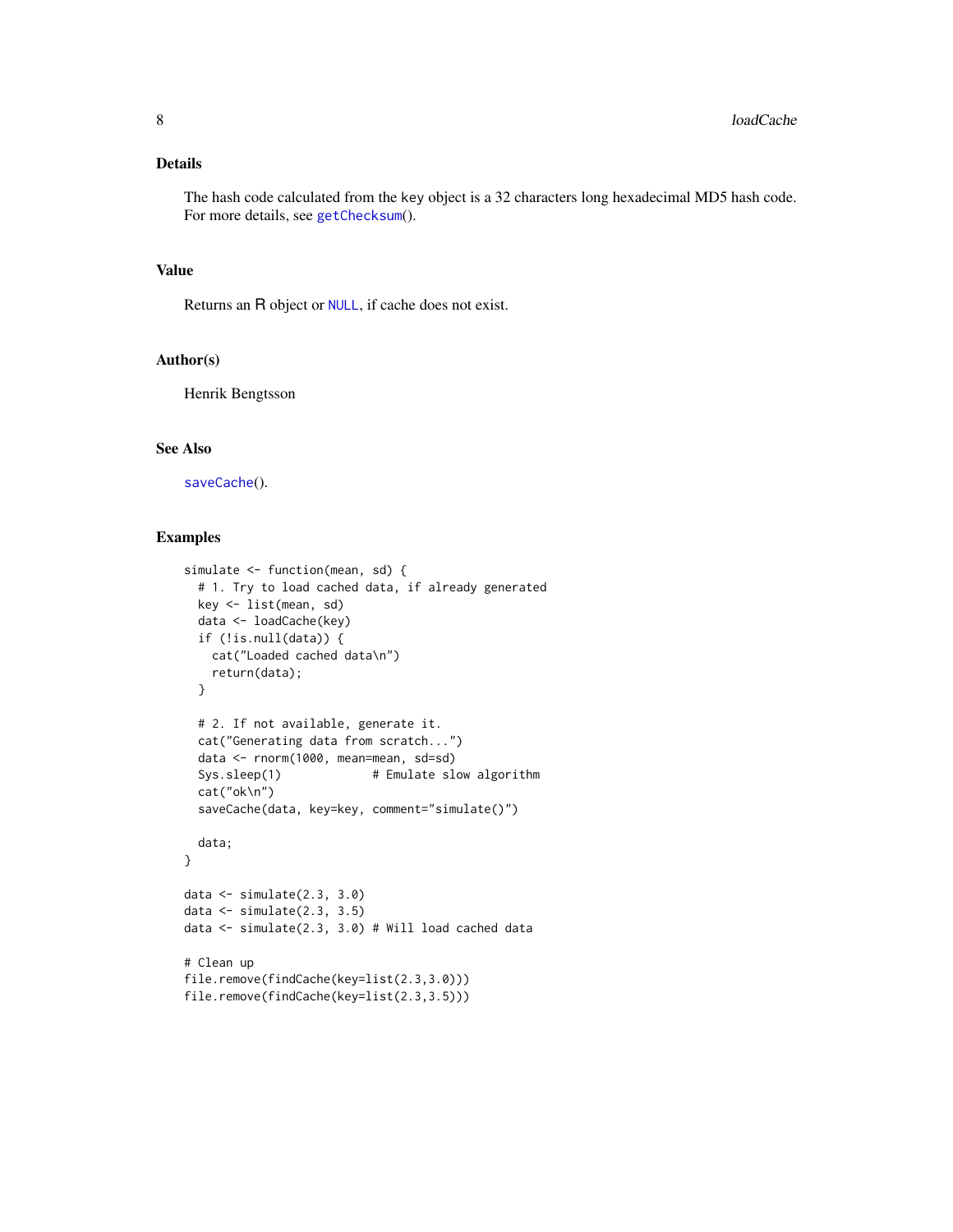# <span id="page-7-0"></span>Details

The hash code calculated from the key object is a 32 characters long hexadecimal MD5 hash code. For more details, see [getChecksum](#page-0-0)().

#### Value

Returns an R object or [NULL](#page-0-0), if cache does not exist.

#### Author(s)

Henrik Bengtsson

# See Also

[saveCache](#page-9-1)().

#### Examples

```
simulate <- function(mean, sd) {
 # 1. Try to load cached data, if already generated
 key <- list(mean, sd)
 data <- loadCache(key)
 if (!is.null(data)) {
   cat("Loaded cached data\n")
   return(data);
 }
 # 2. If not available, generate it.
 cat("Generating data from scratch...")
 data <- rnorm(1000, mean=mean, sd=sd)
 Sys.sleep(1) # Emulate slow algorithm
 cat("ok\n")
 saveCache(data, key=key, comment="simulate()")
 data;
}
data <- simulate(2.3, 3.0)
data <- simulate(2.3, 3.5)
data <- simulate(2.3, 3.0) # Will load cached data
# Clean up
file.remove(findCache(key=list(2.3,3.0)))
file.remove(findCache(key=list(2.3,3.5)))
```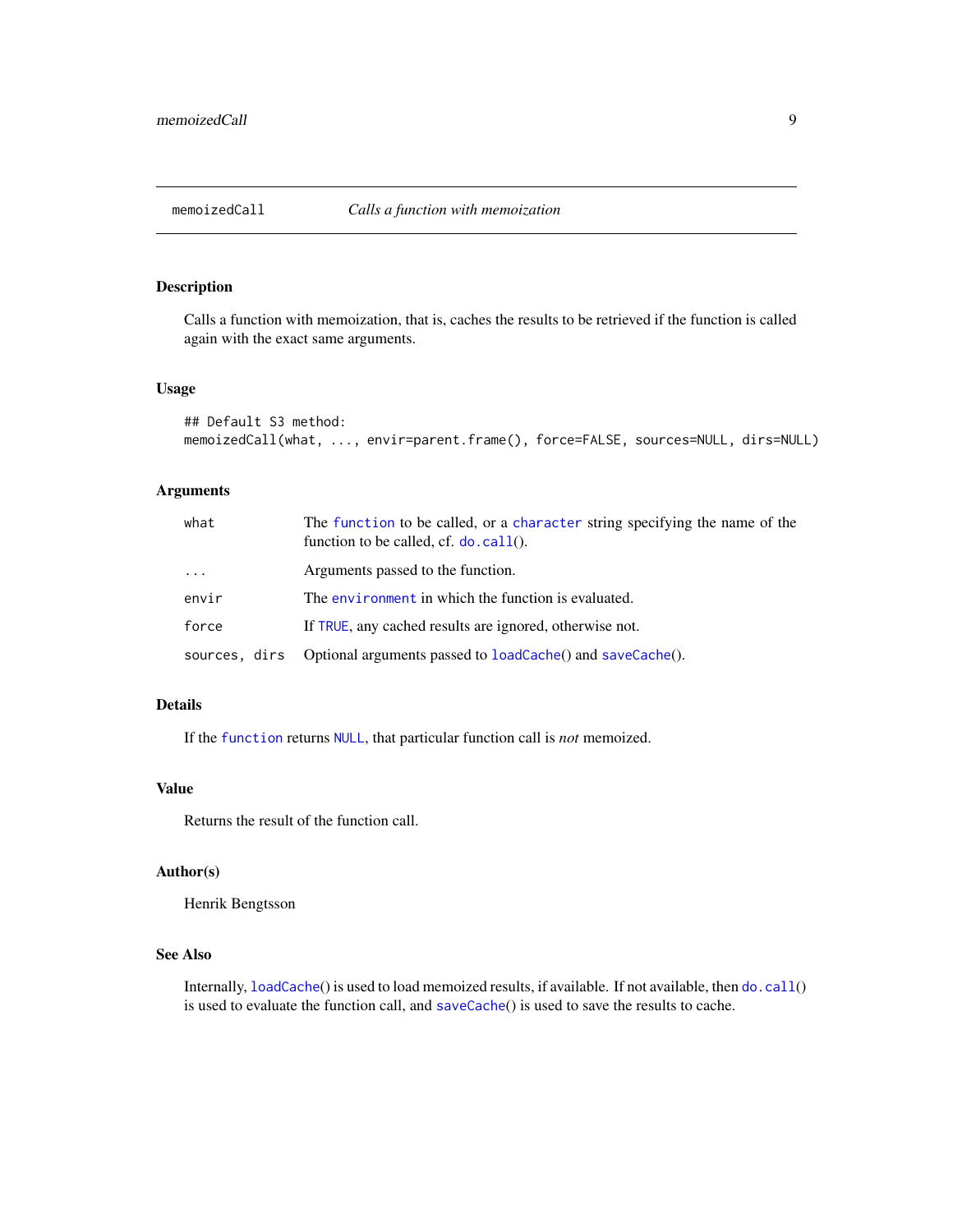<span id="page-8-1"></span><span id="page-8-0"></span>

# Description

Calls a function with memoization, that is, caches the results to be retrieved if the function is called again with the exact same arguments.

#### Usage

```
## Default S3 method:
memoizedCall(what, ..., envir=parent.frame(), force=FALSE, sources=NULL, dirs=NULL)
```
# Arguments

| what          | The function to be called, or a character string specifying the name of the<br>function to be called, cf. $do$ . call(). |
|---------------|--------------------------------------------------------------------------------------------------------------------------|
| $\cdots$      | Arguments passed to the function.                                                                                        |
| envir         | The environment in which the function is evaluated.                                                                      |
| force         | If TRUE, any cached results are ignored, otherwise not.                                                                  |
| sources, dirs | Optional arguments passed to loadCache() and saveCache().                                                                |

# Details

If the [function](#page-0-0) returns [NULL](#page-0-0), that particular function call is *not* memoized.

#### Value

Returns the result of the function call.

# Author(s)

Henrik Bengtsson

# See Also

Internally, [loadCache](#page-6-1)() is used to load memoized results, if available. If not available, then [do.call](#page-0-0)() is used to evaluate the function call, and [saveCache](#page-9-1)() is used to save the results to cache.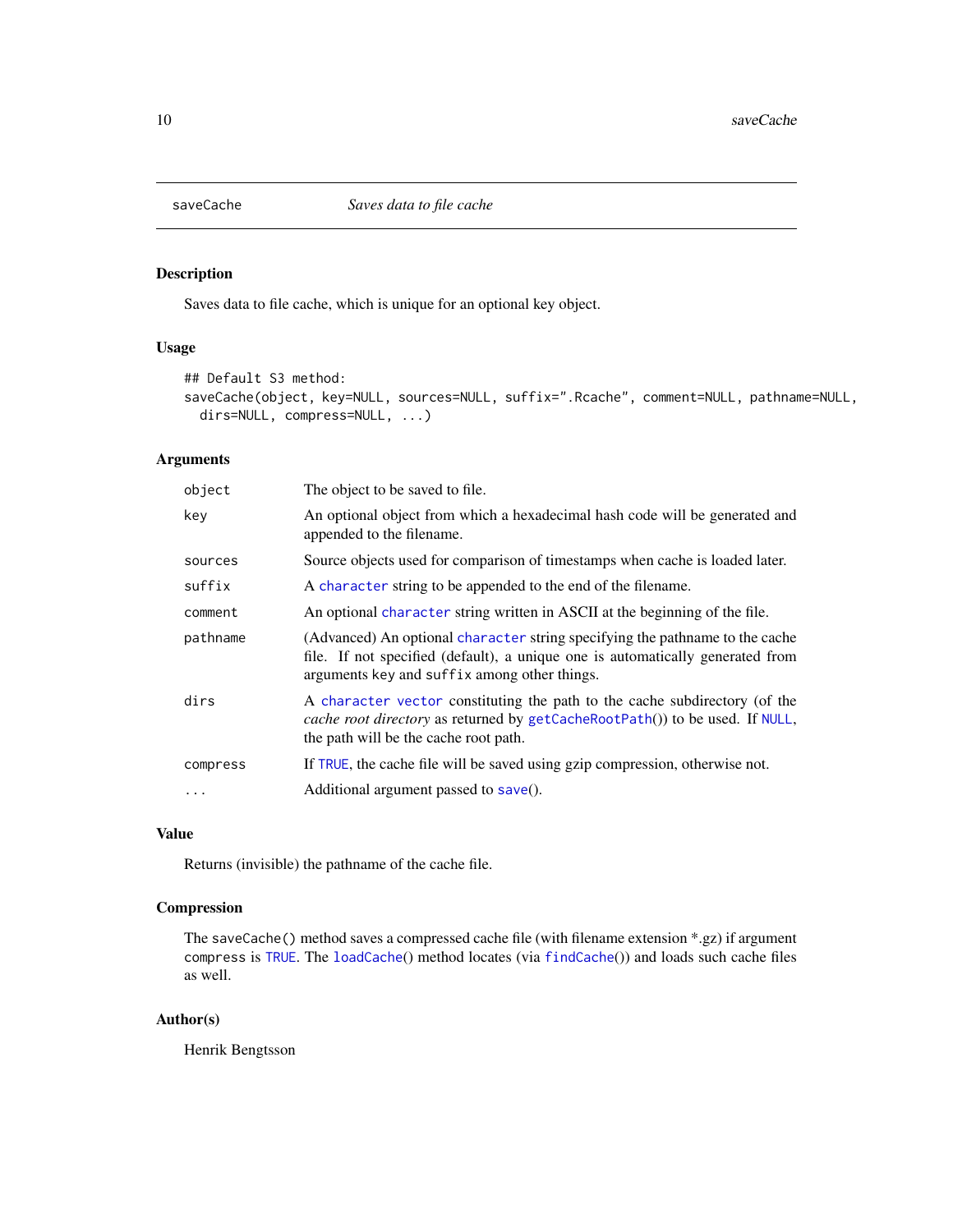<span id="page-9-1"></span><span id="page-9-0"></span>

# Description

Saves data to file cache, which is unique for an optional key object.

#### Usage

```
## Default S3 method:
saveCache(object, key=NULL, sources=NULL, suffix=".Rcache", comment=NULL, pathname=NULL,
 dirs=NULL, compress=NULL, ...)
```
#### Arguments

| object   | The object to be saved to file.                                                                                                                                                                                |
|----------|----------------------------------------------------------------------------------------------------------------------------------------------------------------------------------------------------------------|
| key      | An optional object from which a hexadecimal hash code will be generated and<br>appended to the filename.                                                                                                       |
| sources  | Source objects used for comparison of timestamps when cache is loaded later.                                                                                                                                   |
| suffix   | A character string to be appended to the end of the filename.                                                                                                                                                  |
| comment  | An optional character string written in ASCII at the beginning of the file.                                                                                                                                    |
| pathname | (Advanced) An optional character string specifying the pathname to the cache<br>file. If not specified (default), a unique one is automatically generated from<br>arguments key and suffix among other things. |
| dirs     | A character vector constituting the path to the cache subdirectory (of the<br>cache root directory as returned by getCacheRootPath()) to be used. If NULL,<br>the path will be the cache root path.            |
| compress | If TRUE, the cache file will be saved using gzip compression, otherwise not.                                                                                                                                   |
| $\cdots$ | Additional argument passed to save().                                                                                                                                                                          |

# Value

Returns (invisible) the pathname of the cache file.

# Compression

The saveCache() method saves a compressed cache file (with filename extension \*.gz) if argument compress is [TRUE](#page-0-0). The [loadCache](#page-6-1)() method locates (via [findCache](#page-0-0)()) and loads such cache files as well.

# Author(s)

Henrik Bengtsson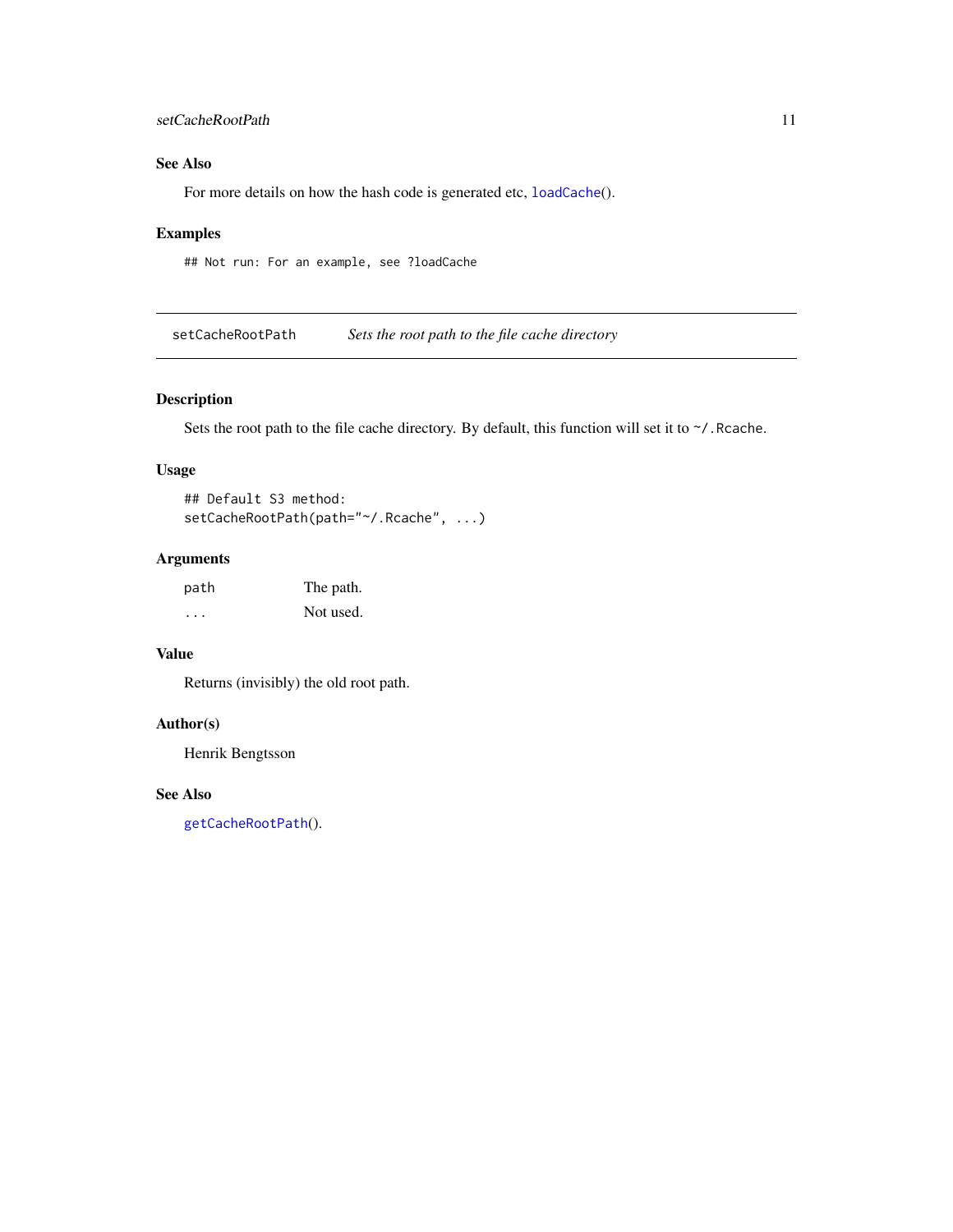# <span id="page-10-0"></span>setCacheRootPath 11

# See Also

For more details on how the hash code is generated etc, [loadCache](#page-6-1)().

# Examples

## Not run: For an example, see ?loadCache

<span id="page-10-1"></span>setCacheRootPath *Sets the root path to the file cache directory*

# Description

Sets the root path to the file cache directory. By default, this function will set it to  $\sim$ /. Rcache.

# Usage

```
## Default S3 method:
setCacheRootPath(path="~/.Rcache", ...)
```
# Arguments

| path                    | The path. |
|-------------------------|-----------|
| $\cdot$ $\cdot$ $\cdot$ | Not used. |

# Value

Returns (invisibly) the old root path.

# Author(s)

Henrik Bengtsson

# See Also

[getCacheRootPath](#page-5-1)().